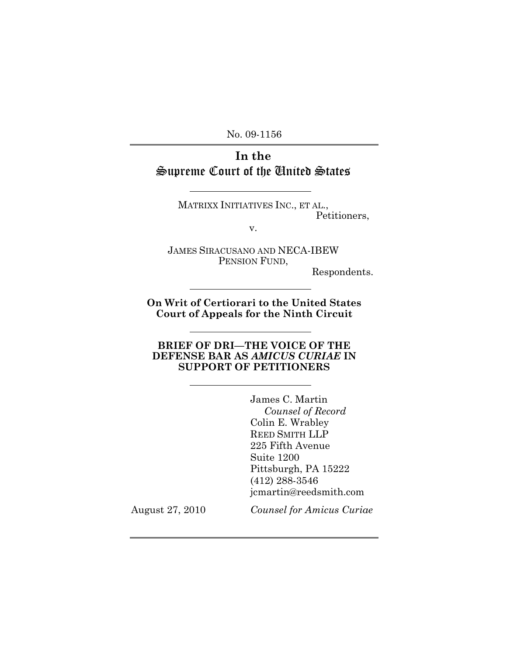No. 09-1156

# **In the**  Supreme Court of the United States

MATRIXX INITIATIVES INC., ET AL., Petitioners,

v.

JAMES SIRACUSANO AND NECA-IBEW PENSION FUND,

Respondents.

**On Writ of Certiorari to the United States Court of Appeals for the Ninth Circuit**

#### **BRIEF OF DRI—THE VOICE OF THE DEFENSE BAR AS** *AMICUS CURIAE* **IN SUPPORT OF PETITIONERS**

James C. Martin *Counsel of Record* Colin E. Wrabley REED SMITH LLP 225 Fifth Avenue Suite 1200 Pittsburgh, PA 15222 (412) 288-3546 jcmartin@reedsmith.com

August 27, 2010 *Counsel for Amicus Curiae*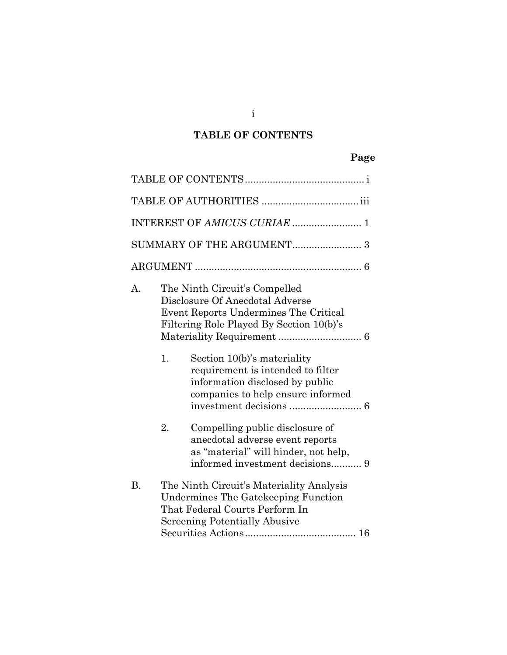# **TABLE OF CONTENTS**

## **Page**

| $\mathbf{A}$ . |    | The Ninth Circuit's Compelled<br>Disclosure Of Anecdotal Adverse<br>Event Reports Undermines The Critical<br>Filtering Role Played By Section 10(b)'s     |
|----------------|----|-----------------------------------------------------------------------------------------------------------------------------------------------------------|
|                | 1. | Section 10(b)'s materiality<br>requirement is intended to filter<br>information disclosed by public<br>companies to help ensure informed                  |
|                | 2. | Compelling public disclosure of<br>anecdotal adverse event reports<br>as "material" will hinder, not help,<br>informed investment decisions 9             |
| <b>B.</b>      |    | The Ninth Circuit's Materiality Analysis<br>Undermines The Gatekeeping Function<br>That Federal Courts Perform In<br><b>Screening Potentially Abusive</b> |

i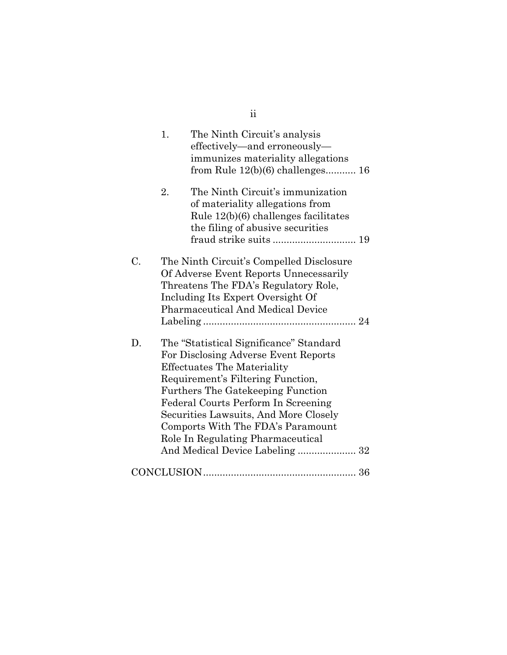|    | The Ninth Circuit's analysis<br>1.<br>effectively-and erroneously-<br>immunizes materiality allegations<br>from Rule $12(b)(6)$ challenges 16                                                                                                                                                                                                                                                       |
|----|-----------------------------------------------------------------------------------------------------------------------------------------------------------------------------------------------------------------------------------------------------------------------------------------------------------------------------------------------------------------------------------------------------|
|    | The Ninth Circuit's immunization<br>2.<br>of materiality allegations from<br>Rule 12(b)(6) challenges facilitates<br>the filing of abusive securities                                                                                                                                                                                                                                               |
| C. | The Ninth Circuit's Compelled Disclosure<br>Of Adverse Event Reports Unnecessarily<br>Threatens The FDA's Regulatory Role,<br>Including Its Expert Oversight Of<br><b>Pharmaceutical And Medical Device</b>                                                                                                                                                                                         |
| D. | The "Statistical Significance" Standard<br>For Disclosing Adverse Event Reports<br><b>Effectuates The Materiality</b><br>Requirement's Filtering Function,<br><b>Furthers The Gatekeeping Function</b><br>Federal Courts Perform In Screening<br>Securities Lawsuits, And More Closely<br>Comports With The FDA's Paramount<br>Role In Regulating Pharmaceutical<br>And Medical Device Labeling  32 |
|    |                                                                                                                                                                                                                                                                                                                                                                                                     |

ii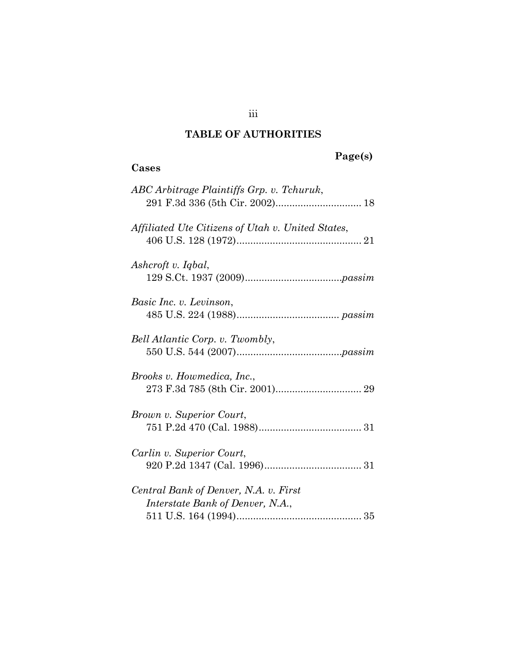## **TABLE OF AUTHORITIES**

**Cases** 

# **Page(s)**

| ABC Arbitrage Plaintiffs Grp. v. Tchuruk,                                 |
|---------------------------------------------------------------------------|
| Affiliated Ute Citizens of Utah v. United States,                         |
| Ashcroft v. Iqbal,                                                        |
| Basic Inc. v. Levinson,                                                   |
| Bell Atlantic Corp. v. Twombly,                                           |
| Brooks v. Howmedica, Inc.,                                                |
| Brown v. Superior Court,                                                  |
| Carlin v. Superior Court,                                                 |
| Central Bank of Denver, N.A. v. First<br>Interstate Bank of Denver, N.A., |

iii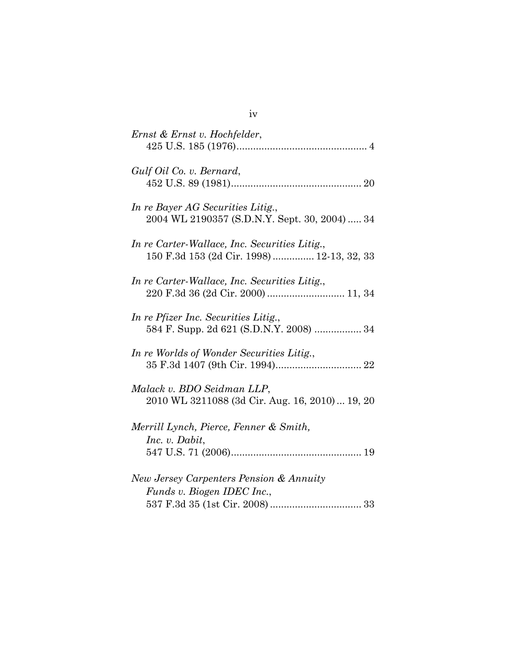| Ernst & Ernst v. Hochfelder,                                                               |
|--------------------------------------------------------------------------------------------|
| Gulf Oil Co. v. Bernard,                                                                   |
| In re Bayer AG Securities Litig.,<br>2004 WL 2190357 (S.D.N.Y. Sept. 30, 2004) 34          |
| In re Carter-Wallace, Inc. Securities Litig.,<br>150 F.3d 153 (2d Cir. 1998) 12-13, 32, 33 |
| In re Carter-Wallace, Inc. Securities Litig.,<br>220 F.3d 36 (2d Cir. 2000)  11, 34        |
| In re Pfizer Inc. Securities Litig.,<br>584 F. Supp. 2d 621 (S.D.N.Y. 2008)  34            |
| In re Worlds of Wonder Securities Litig.,                                                  |
| Malack v. BDO Seidman LLP,<br>2010 WL 3211088 (3d Cir. Aug. 16, 2010)  19, 20              |
| Merrill Lynch, Pierce, Fenner & Smith,<br>Inc. v. Dabit,                                   |
|                                                                                            |
| New Jersey Carpenters Pension & Annuity                                                    |
| Funds v. Biogen IDEC Inc.,                                                                 |
|                                                                                            |

iv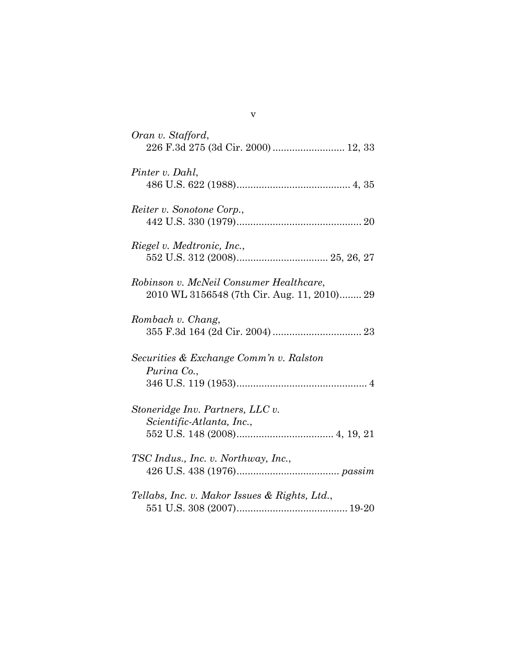| Oran v. Stafford,<br>226 F.3d 275 (3d Cir. 2000)  12, 33                               |
|----------------------------------------------------------------------------------------|
| Pinter v. Dahl,                                                                        |
| Reiter v. Sonotone Corp.,                                                              |
| Riegel v. Medtronic, Inc.,                                                             |
| Robinson v. McNeil Consumer Healthcare,<br>2010 WL 3156548 (7th Cir. Aug. 11, 2010) 29 |
| Rombach v. Chang,                                                                      |
| Securities & Exchange Comm'n v. Ralston<br>Purina Co.,                                 |
| Stoneridge Inv. Partners, LLC v.<br>Scientific-Atlanta, Inc.,                          |
| TSC Indus., Inc. v. Northway, Inc.,                                                    |
| Tellabs, Inc. v. Makor Issues & Rights, Ltd.,                                          |

v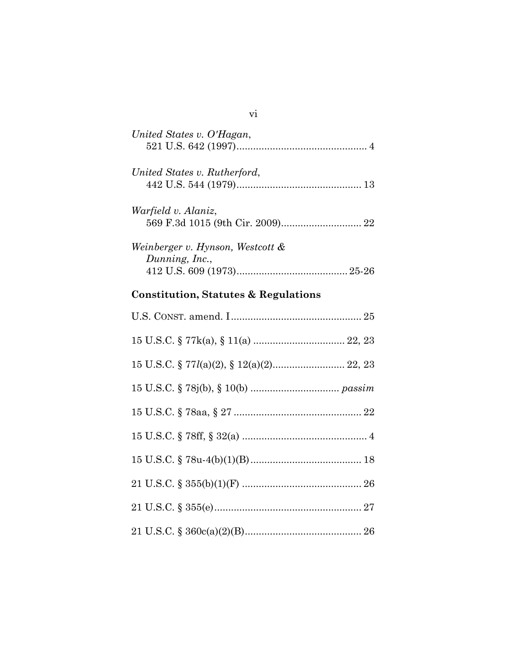# **Constitution, Statutes & Regulations**

vi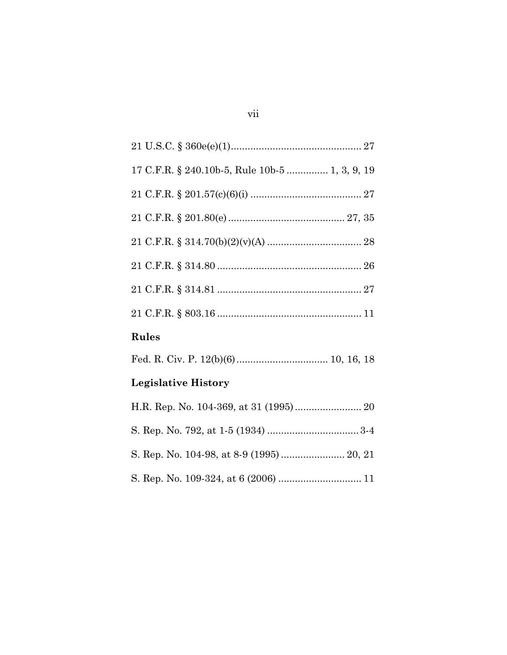| 17 C.F.R. § 240.10b-5, Rule 10b-5  1, 3, 9, 19 |
|------------------------------------------------|
|                                                |
|                                                |
|                                                |
|                                                |
|                                                |
|                                                |
| Rules                                          |
|                                                |
| <b>Legislative History</b>                     |
|                                                |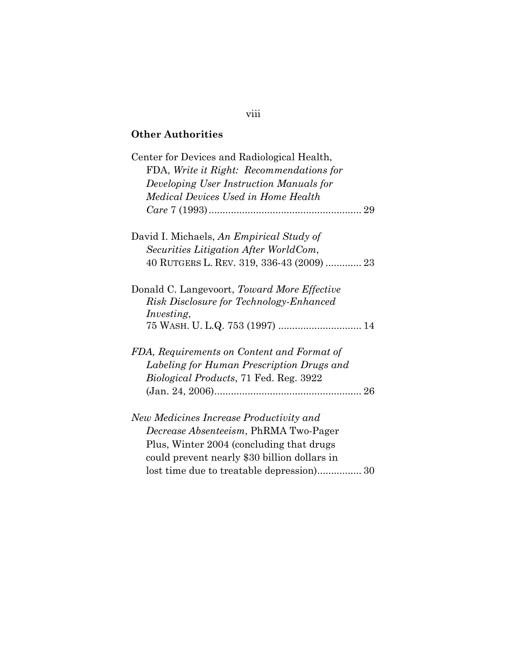## **Other Authorities**

| Center for Devices and Radiological Health,<br>FDA, Write it Right: Recommendations for |
|-----------------------------------------------------------------------------------------|
| Developing User Instruction Manuals for                                                 |
| Medical Devices Used in Home Health                                                     |
|                                                                                         |
| David I. Michaels, An Empirical Study of                                                |
| Securities Litigation After WorldCom,                                                   |
| 40 RUTGERS L. REV. 319, 336-43 (2009)  23                                               |
| Donald C. Langevoort, Toward More Effective                                             |
| Risk Disclosure for Technology-Enhanced                                                 |
| <i>Investing,</i>                                                                       |
|                                                                                         |
| FDA, Requirements on Content and Format of                                              |
| Labeling for Human Prescription Drugs and                                               |
| <i>Biological Products, 71 Fed. Reg. 3922</i>                                           |
|                                                                                         |
| New Medicines Increase Productivity and                                                 |
| <i>Decrease Absenteeism</i> , PhRMA Two-Pager                                           |
| Plus, Winter 2004 (concluding that drugs                                                |
| could prevent nearly \$30 billion dollars in                                            |
|                                                                                         |

#### viii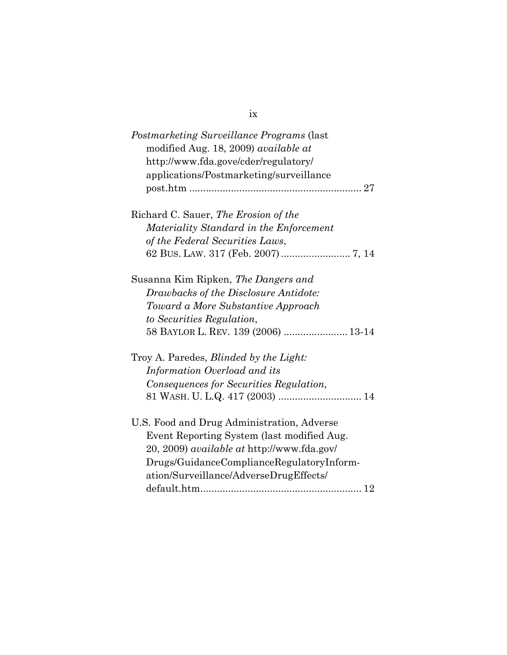| <i>Postmarketing Surveillance Programs (last</i> )<br>modified Aug. 18, 2009) <i>available at</i> |
|---------------------------------------------------------------------------------------------------|
| http://www.fda.gove/cder/regulatory/<br>applications/Postmarketing/surveillance                   |
| 27                                                                                                |
| Richard C. Sauer, The Erosion of the                                                              |
| Materiality Standard in the Enforcement                                                           |
| of the Federal Securities Laws,                                                                   |
|                                                                                                   |
| Susanna Kim Ripken, <i>The Dangers and</i>                                                        |
| Drawbacks of the Disclosure Antidote:                                                             |
| Toward a More Substantive Approach                                                                |

| Troy A. Paredes, <i>Blinded by the Light:</i>                                                                       |  |
|---------------------------------------------------------------------------------------------------------------------|--|
| Information Overload and its                                                                                        |  |
| Consequences for Securities Regulation,                                                                             |  |
|                                                                                                                     |  |
|                                                                                                                     |  |
| $\overline{H} \mathbb{C}$ $\mathbb{F}_{\text{ood}}$ and $\overline{D}$ with $\Lambda$ designation $\Lambda$ decrees |  |

58 BAYLOR L. REV. 139 (2006) ....................... 13-14

 *to Securities Regulation*,

| U.S. Food and Drug Administration, Adverse        |
|---------------------------------------------------|
| Event Reporting System (last modified Aug.)       |
| 20, 2009) <i>available at http://www.fda.gov/</i> |
| Drugs/GuidanceComplianceRegulatoryInform-         |
| ation/Surveillance/AdverseDrugEffects/            |
|                                                   |
|                                                   |

#### ix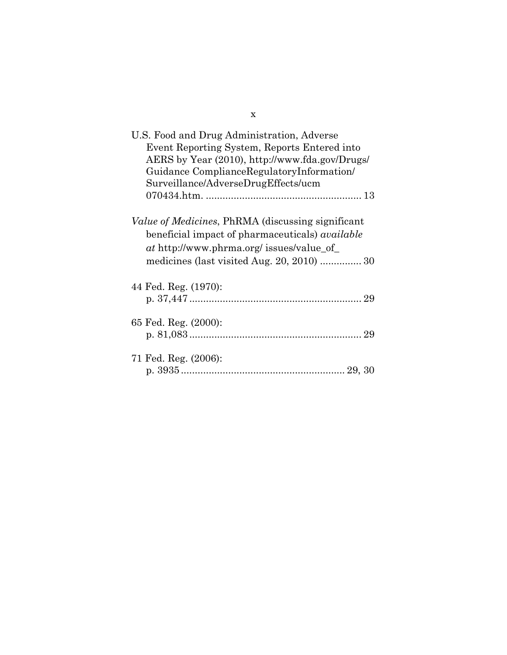| U.S. Food and Drug Administration, Adverse<br>Event Reporting System, Reports Entered into<br>AERS by Year (2010), http://www.fda.gov/Drugs/<br>Guidance ComplianceRegulatoryInformation/<br>Surveillance/AdverseDrugEffects/ucm |
|----------------------------------------------------------------------------------------------------------------------------------------------------------------------------------------------------------------------------------|
| Value of Medicines, PhRMA (discussing significant<br>beneficial impact of pharmaceuticals) <i>available</i><br>at http://www.phrma.org/ issues/value_of_<br>medicines (last visited Aug. $20, 2010$ )  30                        |
| 44 Fed. Reg. (1970):                                                                                                                                                                                                             |
| 65 Fed. Reg. (2000):                                                                                                                                                                                                             |
| 71 Fed. Reg. (2006):                                                                                                                                                                                                             |

x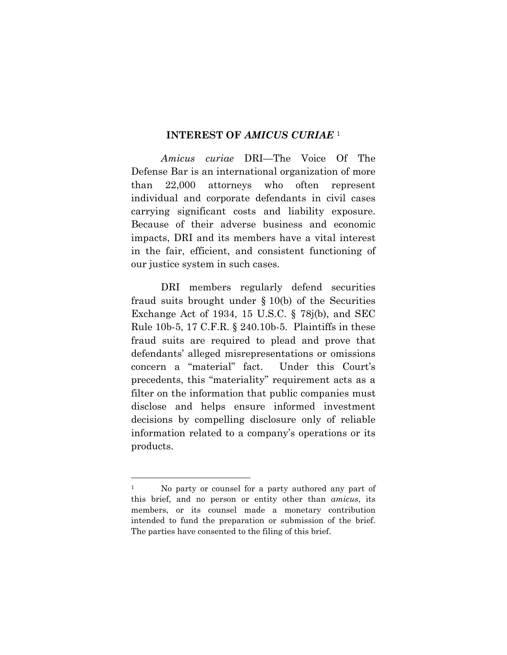#### **INTEREST OF** *AMICUS CURIAE* <sup>1</sup>

*Amicus curiae* DRI—The Voice Of The Defense Bar is an international organization of more than 22,000 attorneys who often represent individual and corporate defendants in civil cases carrying significant costs and liability exposure. Because of their adverse business and economic impacts, DRI and its members have a vital interest in the fair, efficient, and consistent functioning of our justice system in such cases.

DRI members regularly defend securities fraud suits brought under § 10(b) of the Securities Exchange Act of 1934, 15 U.S.C. § 78j(b), and SEC Rule 10b-5, 17 C.F.R. § 240.10b-5. Plaintiffs in these fraud suits are required to plead and prove that defendants' alleged misrepresentations or omissions concern a "material" fact. Under this Court's precedents, this "materiality" requirement acts as a filter on the information that public companies must disclose and helps ensure informed investment decisions by compelling disclosure only of reliable information related to a company's operations or its products.

 $\overline{a}$ 

<sup>&</sup>lt;sup>1</sup> No party or counsel for a party authored any part of this brief, and no person or entity other than *amicus*, its members, or its counsel made a monetary contribution intended to fund the preparation or submission of the brief. The parties have consented to the filing of this brief.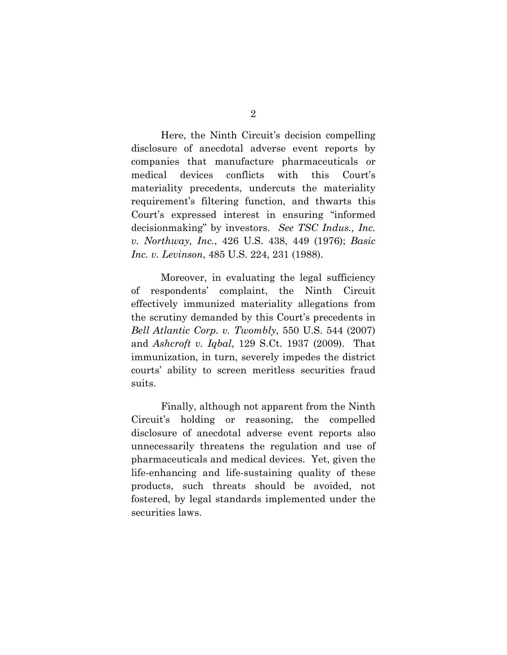Here, the Ninth Circuit's decision compelling disclosure of anecdotal adverse event reports by companies that manufacture pharmaceuticals or medical devices conflicts with this Court's materiality precedents, undercuts the materiality requirement's filtering function, and thwarts this Court's expressed interest in ensuring "informed decisionmaking" by investors. *See TSC Indus., Inc. v. Northway, Inc.*, 426 U.S. 438, 449 (1976); *Basic Inc. v. Levinson*, 485 U.S. 224, 231 (1988).

Moreover, in evaluating the legal sufficiency of respondents' complaint, the Ninth Circuit effectively immunized materiality allegations from the scrutiny demanded by this Court's precedents in *Bell Atlantic Corp. v. Twombly*, 550 U.S. 544 (2007) and *Ashcroft v. Iqbal*, 129 S.Ct. 1937 (2009). That immunization, in turn, severely impedes the district courts' ability to screen meritless securities fraud suits.

 Finally, although not apparent from the Ninth Circuit's holding or reasoning, the compelled disclosure of anecdotal adverse event reports also unnecessarily threatens the regulation and use of pharmaceuticals and medical devices. Yet, given the life-enhancing and life-sustaining quality of these products, such threats should be avoided, not fostered, by legal standards implemented under the securities laws.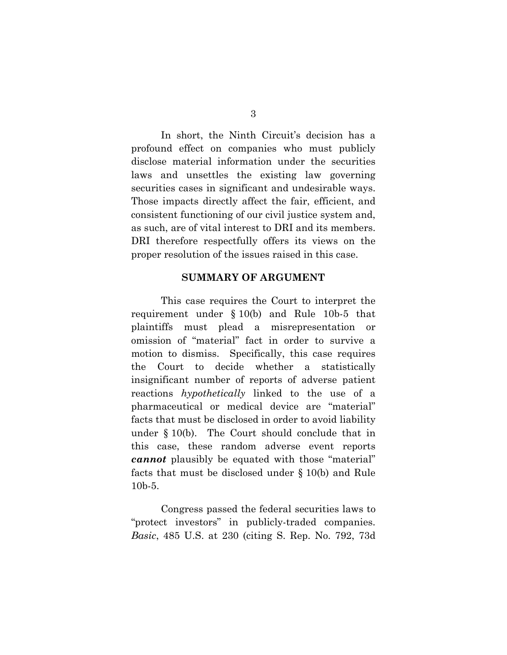In short, the Ninth Circuit's decision has a profound effect on companies who must publicly disclose material information under the securities laws and unsettles the existing law governing securities cases in significant and undesirable ways. Those impacts directly affect the fair, efficient, and consistent functioning of our civil justice system and, as such, are of vital interest to DRI and its members. DRI therefore respectfully offers its views on the proper resolution of the issues raised in this case.

#### **SUMMARY OF ARGUMENT**

This case requires the Court to interpret the requirement under § 10(b) and Rule 10b-5 that plaintiffs must plead a misrepresentation or omission of "material" fact in order to survive a motion to dismiss. Specifically, this case requires the Court to decide whether a statistically insignificant number of reports of adverse patient reactions *hypothetically* linked to the use of a pharmaceutical or medical device are "material" facts that must be disclosed in order to avoid liability under § 10(b). The Court should conclude that in this case, these random adverse event reports *cannot* plausibly be equated with those "material" facts that must be disclosed under § 10(b) and Rule 10b-5.

Congress passed the federal securities laws to "protect investors" in publicly-traded companies. *Basic*, 485 U.S. at 230 (citing S. Rep. No. 792, 73d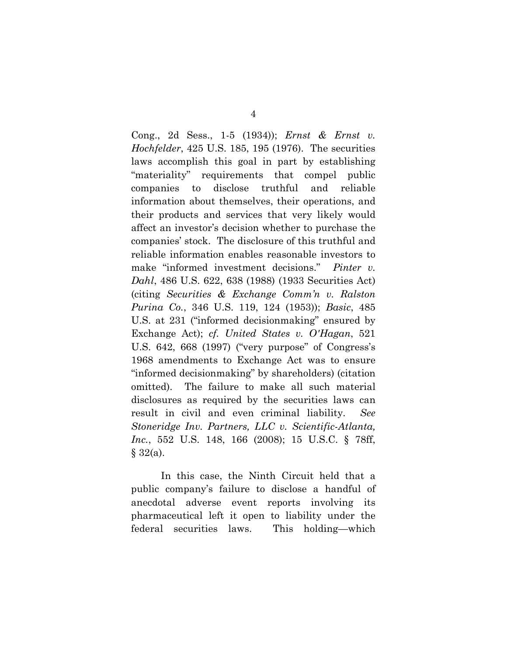Cong., 2d Sess., 1-5 (1934)); *Ernst & Ernst v. Hochfelder*, 425 U.S. 185, 195 (1976). The securities laws accomplish this goal in part by establishing "materiality" requirements that compel public companies to disclose truthful and reliable information about themselves, their operations, and their products and services that very likely would affect an investor's decision whether to purchase the companies' stock. The disclosure of this truthful and reliable information enables reasonable investors to make "informed investment decisions." *Pinter v. Dahl*, 486 U.S. 622, 638 (1988) (1933 Securities Act) (citing *Securities & Exchange Comm'n v. Ralston Purina Co.*, 346 U.S. 119, 124 (1953)); *Basic*, 485 U.S. at 231 ("informed decisionmaking" ensured by Exchange Act); *cf. United States v. O'Hagan*, 521 U.S. 642, 668 (1997) ("very purpose" of Congress's 1968 amendments to Exchange Act was to ensure "informed decisionmaking" by shareholders) (citation omitted). The failure to make all such material disclosures as required by the securities laws can result in civil and even criminal liability. *See Stoneridge Inv. Partners, LLC v. Scientific-Atlanta, Inc.*, 552 U.S. 148, 166 (2008); 15 U.S.C. § 78ff,  $§ 32(a).$ 

In this case, the Ninth Circuit held that a public company's failure to disclose a handful of anecdotal adverse event reports involving its pharmaceutical left it open to liability under the federal securities laws. This holding—which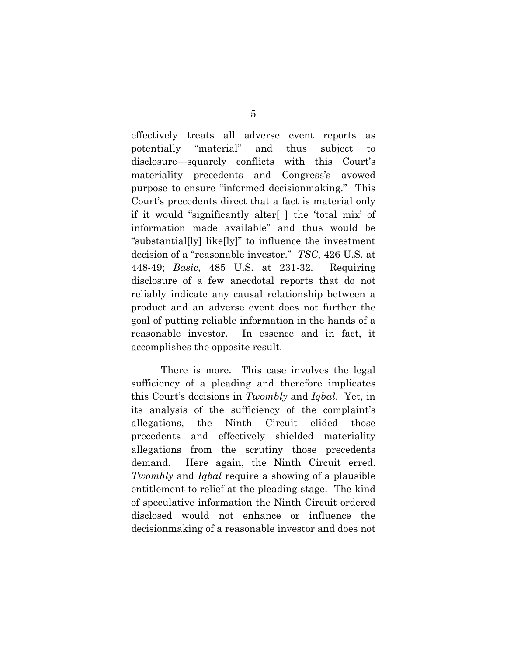effectively treats all adverse event reports as potentially "material" and thus subject to disclosure—squarely conflicts with this Court's materiality precedents and Congress's avowed purpose to ensure "informed decisionmaking." This Court's precedents direct that a fact is material only if it would "significantly alter[ ] the 'total mix' of information made available" and thus would be "substantial[ly] like[ly]" to influence the investment decision of a "reasonable investor." *TSC*, 426 U.S. at 448-49; *Basic*, 485 U.S. at 231-32. Requiring disclosure of a few anecdotal reports that do not reliably indicate any causal relationship between a product and an adverse event does not further the goal of putting reliable information in the hands of a reasonable investor. In essence and in fact, it accomplishes the opposite result.

There is more. This case involves the legal sufficiency of a pleading and therefore implicates this Court's decisions in *Twombly* and *Iqbal*. Yet, in its analysis of the sufficiency of the complaint's allegations, the Ninth Circuit elided those precedents and effectively shielded materiality allegations from the scrutiny those precedents demand. Here again, the Ninth Circuit erred. *Twombly* and *Iqbal* require a showing of a plausible entitlement to relief at the pleading stage. The kind of speculative information the Ninth Circuit ordered disclosed would not enhance or influence the decisionmaking of a reasonable investor and does not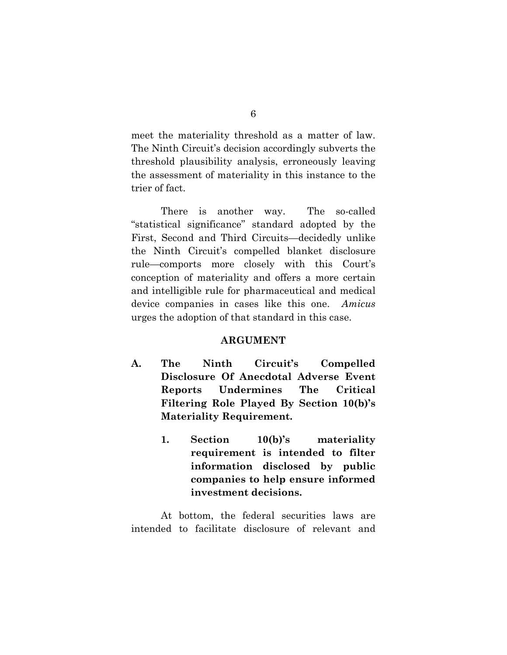meet the materiality threshold as a matter of law. The Ninth Circuit's decision accordingly subverts the threshold plausibility analysis, erroneously leaving the assessment of materiality in this instance to the trier of fact.

There is another way. The so-called "statistical significance" standard adopted by the First, Second and Third Circuits—decidedly unlike the Ninth Circuit's compelled blanket disclosure rule—comports more closely with this Court's conception of materiality and offers a more certain and intelligible rule for pharmaceutical and medical device companies in cases like this one. *Amicus* urges the adoption of that standard in this case.

#### **ARGUMENT**

- **A. The Ninth Circuit's Compelled Disclosure Of Anecdotal Adverse Event Reports Undermines The Critical Filtering Role Played By Section 10(b)'s Materiality Requirement.** 
	- **1. Section 10(b)'s materiality requirement is intended to filter information disclosed by public companies to help ensure informed investment decisions.**

At bottom, the federal securities laws are intended to facilitate disclosure of relevant and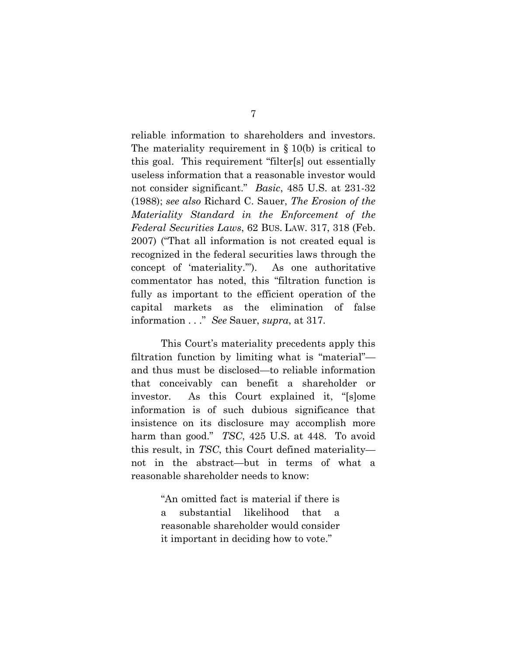reliable information to shareholders and investors. The materiality requirement in  $\S$  10(b) is critical to this goal. This requirement "filter[s] out essentially useless information that a reasonable investor would not consider significant." *Basic*, 485 U.S. at 231-32 (1988); *see also* Richard C. Sauer, *The Erosion of the Materiality Standard in the Enforcement of the Federal Securities Laws*, 62 BUS. LAW. 317, 318 (Feb. 2007) ("That all information is not created equal is recognized in the federal securities laws through the concept of 'materiality.'"). As one authoritative commentator has noted, this "filtration function is fully as important to the efficient operation of the capital markets as the elimination of false information . . ." *See* Sauer, *supra*, at 317.

This Court's materiality precedents apply this filtration function by limiting what is "material" and thus must be disclosed—to reliable information that conceivably can benefit a shareholder or investor. As this Court explained it, "[s]ome information is of such dubious significance that insistence on its disclosure may accomplish more harm than good." *TSC*, 425 U.S. at 448. To avoid this result, in *TSC*, this Court defined materiality not in the abstract—but in terms of what a reasonable shareholder needs to know:

> "An omitted fact is material if there is a substantial likelihood that a reasonable shareholder would consider it important in deciding how to vote."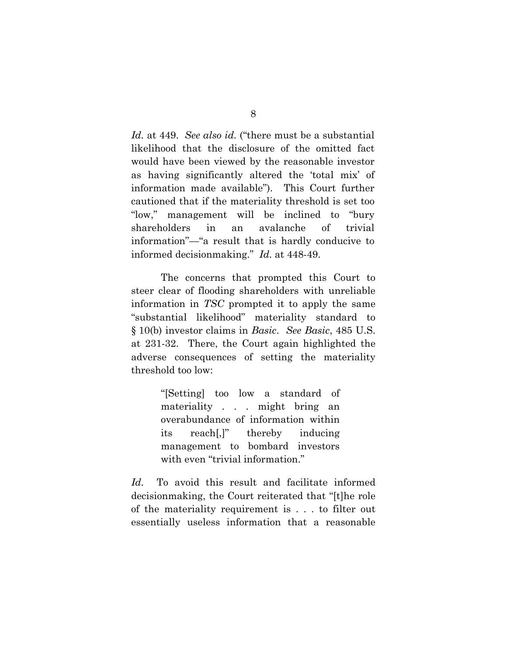*Id.* at 449. *See also id.* ("there must be a substantial likelihood that the disclosure of the omitted fact would have been viewed by the reasonable investor as having significantly altered the 'total mix' of information made available"). This Court further cautioned that if the materiality threshold is set too "low," management will be inclined to "bury shareholders in an avalanche of trivial information"—"a result that is hardly conducive to informed decisionmaking." *Id.* at 448-49.

The concerns that prompted this Court to steer clear of flooding shareholders with unreliable information in *TSC* prompted it to apply the same "substantial likelihood" materiality standard to § 10(b) investor claims in *Basic*. *See Basic*, 485 U.S. at 231-32. There, the Court again highlighted the adverse consequences of setting the materiality threshold too low:

> "[Setting] too low a standard of materiality . . . might bring an overabundance of information within its reach[,]" thereby inducing management to bombard investors with even "trivial information."

*Id.* To avoid this result and facilitate informed decisionmaking, the Court reiterated that "[t]he role of the materiality requirement is . . . to filter out essentially useless information that a reasonable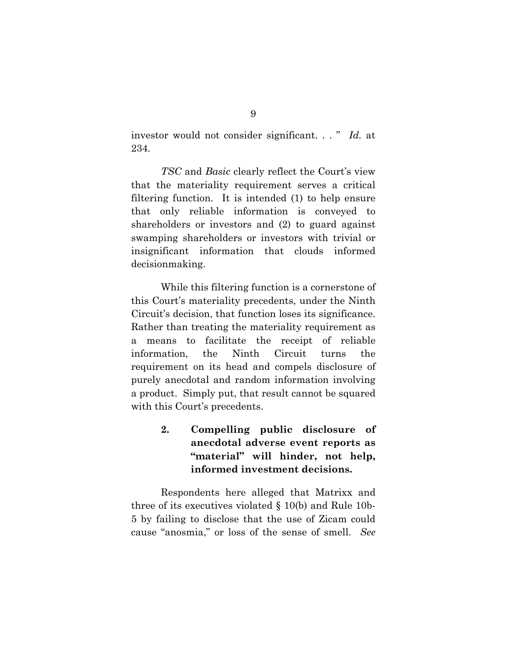investor would not consider significant. . . " *Id.* at 234.

*TSC* and *Basic* clearly reflect the Court's view that the materiality requirement serves a critical filtering function. It is intended (1) to help ensure that only reliable information is conveyed to shareholders or investors and (2) to guard against swamping shareholders or investors with trivial or insignificant information that clouds informed decisionmaking.

While this filtering function is a cornerstone of this Court's materiality precedents, under the Ninth Circuit's decision, that function loses its significance. Rather than treating the materiality requirement as a means to facilitate the receipt of reliable information, the Ninth Circuit turns the requirement on its head and compels disclosure of purely anecdotal and random information involving a product. Simply put, that result cannot be squared with this Court's precedents.

> **2. Compelling public disclosure of anecdotal adverse event reports as "material" will hinder, not help, informed investment decisions.**

Respondents here alleged that Matrixx and three of its executives violated § 10(b) and Rule 10b-5 by failing to disclose that the use of Zicam could cause "anosmia," or loss of the sense of smell. *See*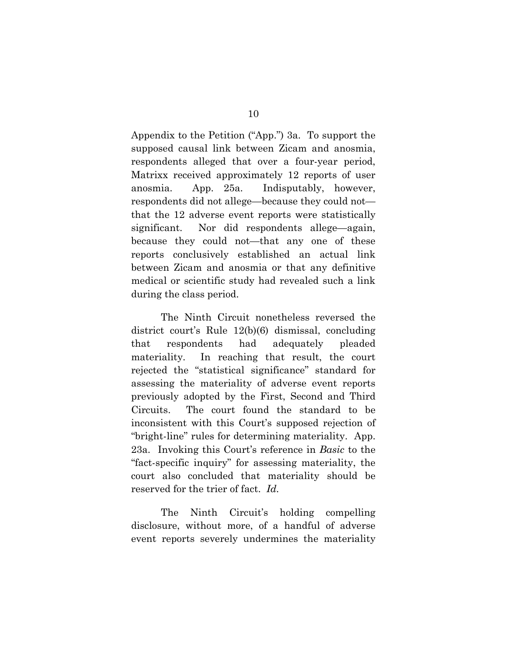Appendix to the Petition ("App.") 3a. To support the supposed causal link between Zicam and anosmia, respondents alleged that over a four-year period, Matrixx received approximately 12 reports of user anosmia. App. 25a. Indisputably, however, respondents did not allege—because they could not that the 12 adverse event reports were statistically significant. Nor did respondents allege—again, because they could not—that any one of these reports conclusively established an actual link between Zicam and anosmia or that any definitive medical or scientific study had revealed such a link during the class period.

The Ninth Circuit nonetheless reversed the district court's Rule 12(b)(6) dismissal, concluding that respondents had adequately pleaded materiality. In reaching that result, the court rejected the "statistical significance" standard for assessing the materiality of adverse event reports previously adopted by the First, Second and Third Circuits. The court found the standard to be inconsistent with this Court's supposed rejection of "bright-line" rules for determining materiality. App. 23a. Invoking this Court's reference in *Basic* to the "fact-specific inquiry" for assessing materiality, the court also concluded that materiality should be reserved for the trier of fact. *Id.*

The Ninth Circuit's holding compelling disclosure, without more, of a handful of adverse event reports severely undermines the materiality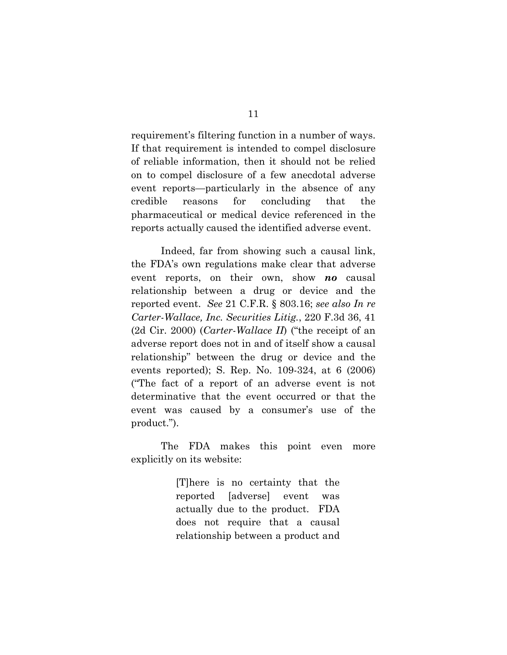requirement's filtering function in a number of ways. If that requirement is intended to compel disclosure of reliable information, then it should not be relied on to compel disclosure of a few anecdotal adverse event reports—particularly in the absence of any credible reasons for concluding that the pharmaceutical or medical device referenced in the reports actually caused the identified adverse event.

Indeed, far from showing such a causal link, the FDA's own regulations make clear that adverse event reports, on their own, show *no* causal relationship between a drug or device and the reported event. *See* 21 C.F.R. § 803.16; *see also In re Carter-Wallace, Inc. Securities Litig.*, 220 F.3d 36, 41 (2d Cir. 2000) (*Carter-Wallace II*) ("the receipt of an adverse report does not in and of itself show a causal relationship" between the drug or device and the events reported); S. Rep. No. 109-324, at 6 (2006) ("The fact of a report of an adverse event is not determinative that the event occurred or that the event was caused by a consumer's use of the product.").

The FDA makes this point even more explicitly on its website:

> [T]here is no certainty that the reported [adverse] event was actually due to the product. FDA does not require that a causal relationship between a product and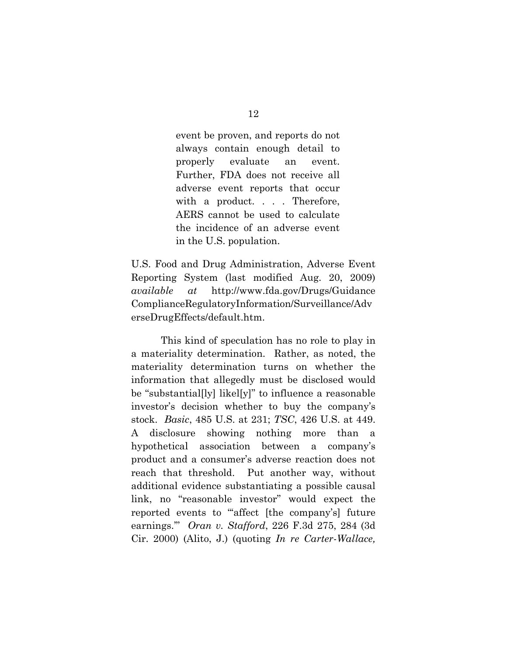event be proven, and reports do not always contain enough detail to properly evaluate an event. Further, FDA does not receive all adverse event reports that occur with a product. . . . Therefore, AERS cannot be used to calculate the incidence of an adverse event in the U.S. population.

U.S. Food and Drug Administration, Adverse Event Reporting System (last modified Aug. 20, 2009) *available at* http://www.fda.gov/Drugs/Guidance ComplianceRegulatoryInformation/Surveillance/Adv erseDrugEffects/default.htm.

This kind of speculation has no role to play in a materiality determination. Rather, as noted, the materiality determination turns on whether the information that allegedly must be disclosed would be "substantial[ly] likel[y]" to influence a reasonable investor's decision whether to buy the company's stock. *Basic*, 485 U.S. at 231; *TSC*, 426 U.S. at 449. A disclosure showing nothing more than a hypothetical association between a company's product and a consumer's adverse reaction does not reach that threshold. Put another way, without additional evidence substantiating a possible causal link, no "reasonable investor" would expect the reported events to "affect [the company's] future earnings.'" *Oran v. Stafford*, 226 F.3d 275, 284 (3d Cir. 2000) (Alito, J.) (quoting *In re Carter-Wallace,*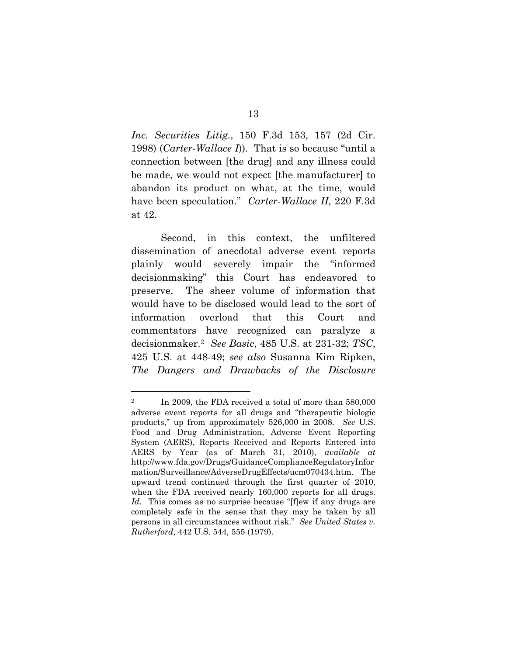*Inc. Securities Litig.*, 150 F.3d 153, 157 (2d Cir. 1998) (*Carter-Wallace I*)). That is so because "until a connection between [the drug] and any illness could be made, we would not expect [the manufacturer] to abandon its product on what, at the time, would have been speculation." *Carter-Wallace II*, 220 F.3d at 42.

Second, in this context, the unfiltered dissemination of anecdotal adverse event reports plainly would severely impair the "informed decisionmaking" this Court has endeavored to preserve. The sheer volume of information that would have to be disclosed would lead to the sort of information overload that this Court and commentators have recognized can paralyze a decisionmaker.2 *See Basic*, 485 U.S. at 231-32; *TSC*, 425 U.S. at 448-49; *see also* Susanna Kim Ripken, *The Dangers and Drawbacks of the Disclosure* 

 $\overline{a}$ 

<sup>&</sup>lt;sup>2</sup> In 2009, the FDA received a total of more than 580,000 adverse event reports for all drugs and "therapeutic biologic products," up from approximately 526,000 in 2008. *See* U.S. Food and Drug Administration, Adverse Event Reporting System (AERS), Reports Received and Reports Entered into AERS by Year (as of March 31, 2010), *available at* http://www.fda.gov/Drugs/GuidanceComplianceRegulatoryInfor mation/Surveillance/AdverseDrugEffects/ucm070434.htm. The upward trend continued through the first quarter of 2010, when the FDA received nearly 160,000 reports for all drugs. *Id.* This comes as no surprise because "[f]ew if any drugs are completely safe in the sense that they may be taken by all persons in all circumstances without risk." *See United States v. Rutherford*, 442 U.S. 544, 555 (1979).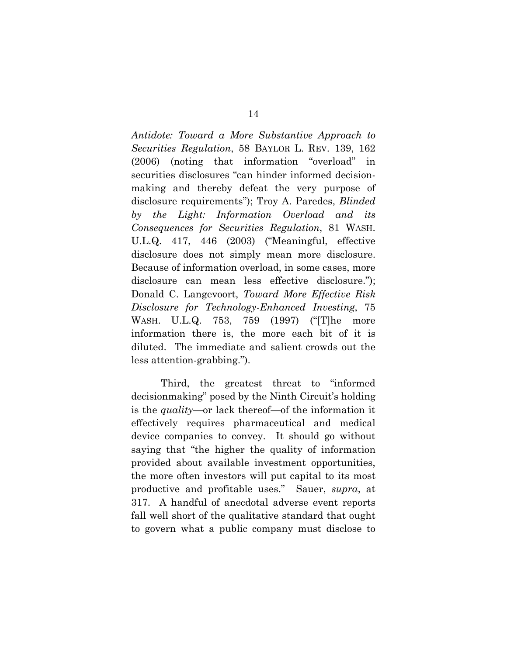*Antidote: Toward a More Substantive Approach to Securities Regulation*, 58 BAYLOR L. REV. 139, 162 (2006) (noting that information "overload" in securities disclosures "can hinder informed decisionmaking and thereby defeat the very purpose of disclosure requirements"); Troy A. Paredes, *Blinded by the Light: Information Overload and its Consequences for Securities Regulation*, 81 WASH. U.L.Q. 417, 446 (2003) ("Meaningful, effective disclosure does not simply mean more disclosure. Because of information overload, in some cases, more disclosure can mean less effective disclosure."); Donald C. Langevoort, *Toward More Effective Risk Disclosure for Technology-Enhanced Investing*, 75 WASH. U.L.Q. 753, 759 (1997) ("[T]he more information there is, the more each bit of it is diluted. The immediate and salient crowds out the less attention-grabbing.").

Third, the greatest threat to "informed decisionmaking" posed by the Ninth Circuit's holding is the *quality*—or lack thereof—of the information it effectively requires pharmaceutical and medical device companies to convey. It should go without saying that "the higher the quality of information provided about available investment opportunities, the more often investors will put capital to its most productive and profitable uses." Sauer, *supra*, at 317. A handful of anecdotal adverse event reports fall well short of the qualitative standard that ought to govern what a public company must disclose to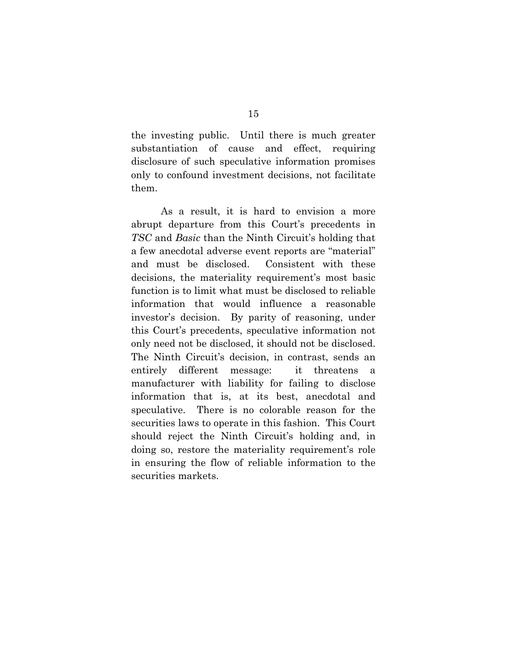the investing public. Until there is much greater substantiation of cause and effect, requiring disclosure of such speculative information promises only to confound investment decisions, not facilitate them.

As a result, it is hard to envision a more abrupt departure from this Court's precedents in *TSC* and *Basic* than the Ninth Circuit's holding that a few anecdotal adverse event reports are "material" and must be disclosed. Consistent with these decisions, the materiality requirement's most basic function is to limit what must be disclosed to reliable information that would influence a reasonable investor's decision. By parity of reasoning, under this Court's precedents, speculative information not only need not be disclosed, it should not be disclosed. The Ninth Circuit's decision, in contrast, sends an entirely different message: it threatens a manufacturer with liability for failing to disclose information that is, at its best, anecdotal and speculative. There is no colorable reason for the securities laws to operate in this fashion. This Court should reject the Ninth Circuit's holding and, in doing so, restore the materiality requirement's role in ensuring the flow of reliable information to the securities markets.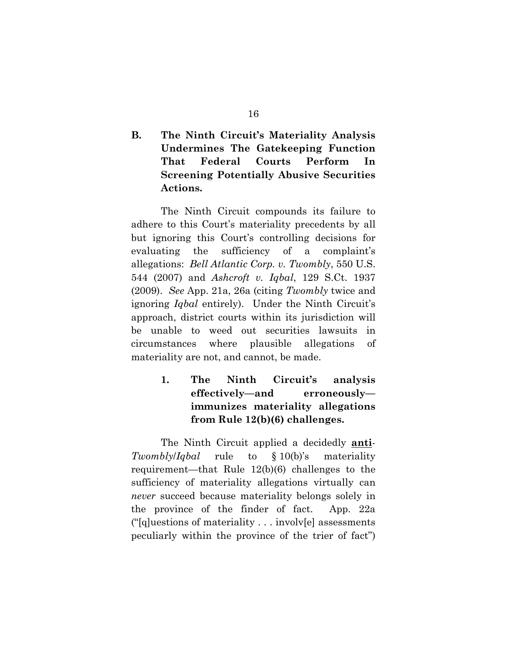## **B. The Ninth Circuit's Materiality Analysis Undermines The Gatekeeping Function That Federal Courts Perform In Screening Potentially Abusive Securities Actions.**

The Ninth Circuit compounds its failure to adhere to this Court's materiality precedents by all but ignoring this Court's controlling decisions for evaluating the sufficiency of a complaint's allegations: *Bell Atlantic Corp. v. Twombly*, 550 U.S. 544 (2007) and *Ashcroft v. Iqbal*, 129 S.Ct. 1937 (2009). *See* App. 21a, 26a (citing *Twombly* twice and ignoring *Iqbal* entirely). Under the Ninth Circuit's approach, district courts within its jurisdiction will be unable to weed out securities lawsuits in circumstances where plausible allegations of materiality are not, and cannot, be made.

## **1. The Ninth Circuit's analysis effectively—and erroneously immunizes materiality allegations from Rule 12(b)(6) challenges.**

The Ninth Circuit applied a decidedly **anti**-*Twombly*/*Iqbal* rule to § 10(b)'s materiality requirement—that Rule 12(b)(6) challenges to the sufficiency of materiality allegations virtually can *never* succeed because materiality belongs solely in the province of the finder of fact. App. 22a ("[q]uestions of materiality . . . involv[e] assessments peculiarly within the province of the trier of fact")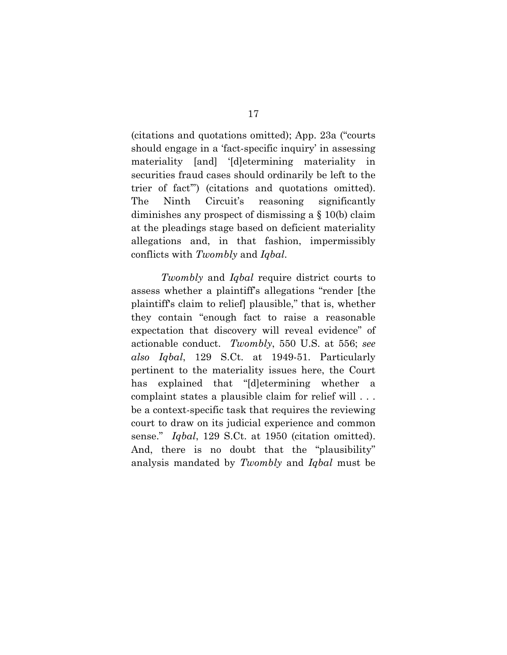(citations and quotations omitted); App. 23a ("courts should engage in a 'fact-specific inquiry' in assessing materiality [and] '[d]etermining materiality in securities fraud cases should ordinarily be left to the trier of fact'") (citations and quotations omitted). The Ninth Circuit's reasoning significantly diminishes any prospect of dismissing a § 10(b) claim at the pleadings stage based on deficient materiality allegations and, in that fashion, impermissibly conflicts with *Twombly* and *Iqbal*.

*Twombly* and *Iqbal* require district courts to assess whether a plaintiff's allegations "render [the plaintiff's claim to relief] plausible," that is, whether they contain "enough fact to raise a reasonable expectation that discovery will reveal evidence" of actionable conduct. *Twombly*, 550 U.S. at 556; *see also Iqbal*, 129 S.Ct. at 1949-51. Particularly pertinent to the materiality issues here, the Court has explained that "[d]etermining whether a complaint states a plausible claim for relief will . . . be a context-specific task that requires the reviewing court to draw on its judicial experience and common sense." *Iqbal*, 129 S.Ct. at 1950 (citation omitted). And, there is no doubt that the "plausibility" analysis mandated by *Twombly* and *Iqbal* must be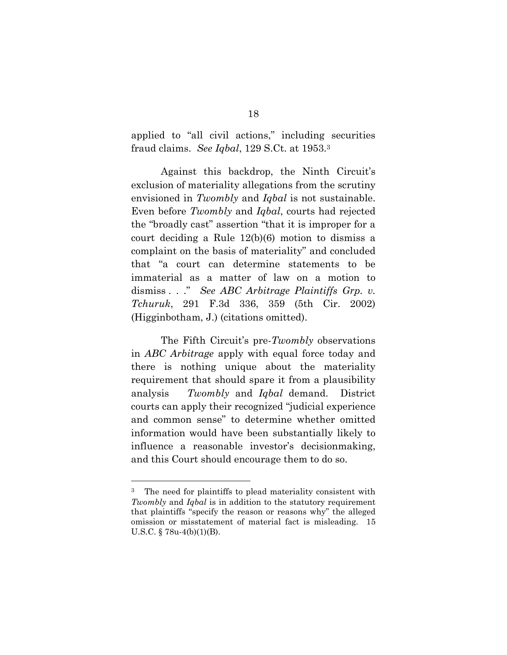applied to "all civil actions," including securities fraud claims. *See Iqbal*, 129 S.Ct. at 1953.3

Against this backdrop, the Ninth Circuit's exclusion of materiality allegations from the scrutiny envisioned in *Twombly* and *Iqbal* is not sustainable. Even before *Twombly* and *Iqbal*, courts had rejected the "broadly cast" assertion "that it is improper for a court deciding a Rule 12(b)(6) motion to dismiss a complaint on the basis of materiality" and concluded that "a court can determine statements to be immaterial as a matter of law on a motion to dismiss . . ." *See ABC Arbitrage Plaintiffs Grp. v. Tchuruk*, 291 F.3d 336, 359 (5th Cir. 2002) (Higginbotham, J.) (citations omitted).

The Fifth Circuit's pre-*Twombly* observations in *ABC Arbitrage* apply with equal force today and there is nothing unique about the materiality requirement that should spare it from a plausibility analysis *Twombly* and *Iqbal* demand. District courts can apply their recognized "judicial experience and common sense" to determine whether omitted information would have been substantially likely to influence a reasonable investor's decisionmaking, and this Court should encourage them to do so.

 $\overline{a}$ 

<sup>&</sup>lt;sup>3</sup> The need for plaintiffs to plead materiality consistent with *Twombly* and *Iqbal* is in addition to the statutory requirement that plaintiffs "specify the reason or reasons why" the alleged omission or misstatement of material fact is misleading. 15 U.S.C.  $\S$  78u-4(b)(1)(B).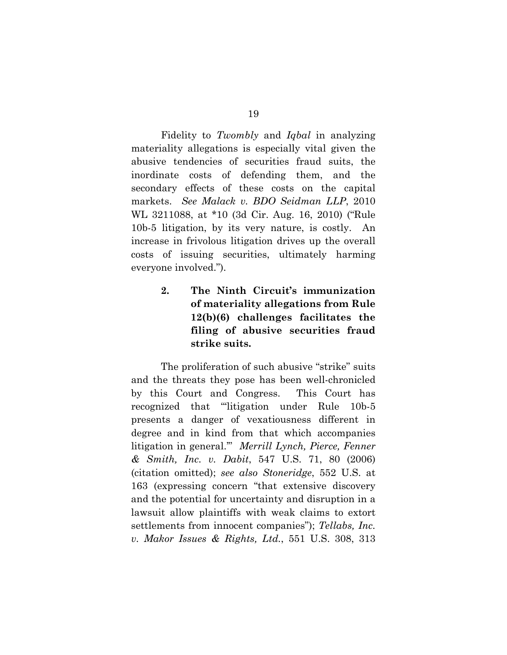Fidelity to *Twombly* and *Iqbal* in analyzing materiality allegations is especially vital given the abusive tendencies of securities fraud suits, the inordinate costs of defending them, and the secondary effects of these costs on the capital markets. *See Malack v. BDO Seidman LLP*, 2010 WL 3211088, at \*10 (3d Cir. Aug. 16, 2010) ("Rule 10b-5 litigation, by its very nature, is costly. An increase in frivolous litigation drives up the overall costs of issuing securities, ultimately harming everyone involved.").

> **2. The Ninth Circuit's immunization of materiality allegations from Rule 12(b)(6) challenges facilitates the filing of abusive securities fraud strike suits.**

The proliferation of such abusive "strike" suits and the threats they pose has been well-chronicled by this Court and Congress. This Court has recognized that "'litigation under Rule 10b-5 presents a danger of vexatiousness different in degree and in kind from that which accompanies litigation in general.'" *Merrill Lynch, Pierce, Fenner & Smith, Inc. v. Dabit*, 547 U.S. 71, 80 (2006) (citation omitted); *see also Stoneridge*, 552 U.S. at 163 (expressing concern "that extensive discovery and the potential for uncertainty and disruption in a lawsuit allow plaintiffs with weak claims to extort settlements from innocent companies"); *Tellabs, Inc. v. Makor Issues & Rights, Ltd.*, 551 U.S. 308, 313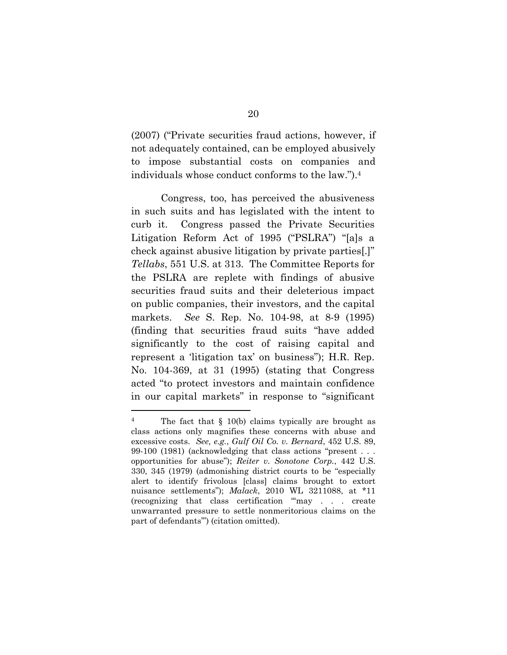(2007) ("Private securities fraud actions, however, if not adequately contained, can be employed abusively to impose substantial costs on companies and individuals whose conduct conforms to the law.").4

 Congress, too, has perceived the abusiveness in such suits and has legislated with the intent to curb it. Congress passed the Private Securities Litigation Reform Act of 1995 ("PSLRA") "[a]s a check against abusive litigation by private parties[.]" *Tellabs*, 551 U.S. at 313. The Committee Reports for the PSLRA are replete with findings of abusive securities fraud suits and their deleterious impact on public companies, their investors, and the capital markets. *See* S. Rep. No. 104-98, at 8-9 (1995) (finding that securities fraud suits "have added significantly to the cost of raising capital and represent a 'litigation tax' on business"); H.R. Rep. No. 104-369, at 31 (1995) (stating that Congress acted "to protect investors and maintain confidence in our capital markets" in response to "significant

 $\overline{a}$ 

<sup>4</sup> The fact that § 10(b) claims typically are brought as class actions only magnifies these concerns with abuse and excessive costs. *See, e.g.*, *Gulf Oil Co. v. Bernard*, 452 U.S. 89, 99-100 (1981) (acknowledging that class actions "present . . . opportunities for abuse"); *Reiter v. Sonotone Corp.*, 442 U.S. 330, 345 (1979) (admonishing district courts to be "especially alert to identify frivolous [class] claims brought to extort nuisance settlements"); *Malack*, 2010 WL 3211088, at \*11 (recognizing that class certification "'may . . . create unwarranted pressure to settle nonmeritorious claims on the part of defendants'") (citation omitted).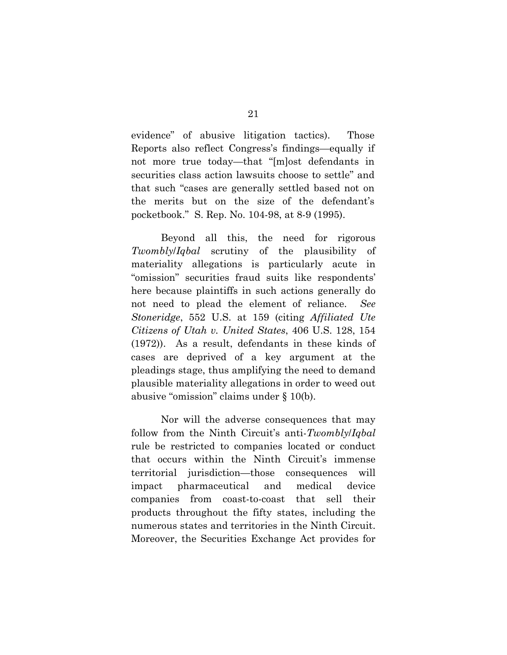evidence" of abusive litigation tactics). Those Reports also reflect Congress's findings—equally if not more true today—that "[m]ost defendants in securities class action lawsuits choose to settle" and that such "cases are generally settled based not on the merits but on the size of the defendant's pocketbook." S. Rep. No. 104-98, at 8-9 (1995).

Beyond all this, the need for rigorous *Twombly*/*Iqbal* scrutiny of the plausibility of materiality allegations is particularly acute in "omission" securities fraud suits like respondents' here because plaintiffs in such actions generally do not need to plead the element of reliance. *See Stoneridge*, 552 U.S. at 159 (citing *Affiliated Ute Citizens of Utah v. United States*, 406 U.S. 128, 154 (1972)). As a result, defendants in these kinds of cases are deprived of a key argument at the pleadings stage, thus amplifying the need to demand plausible materiality allegations in order to weed out abusive "omission" claims under § 10(b).

Nor will the adverse consequences that may follow from the Ninth Circuit's anti-*Twombly*/*Iqbal* rule be restricted to companies located or conduct that occurs within the Ninth Circuit's immense territorial jurisdiction—those consequences will impact pharmaceutical and medical device companies from coast-to-coast that sell their products throughout the fifty states, including the numerous states and territories in the Ninth Circuit. Moreover, the Securities Exchange Act provides for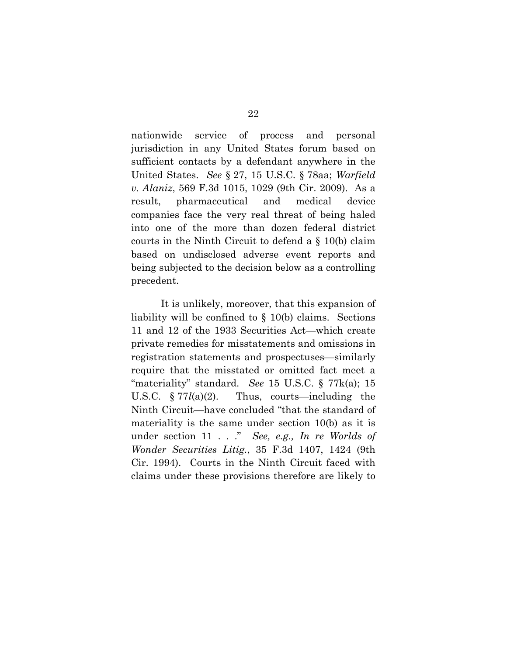nationwide service of process and personal jurisdiction in any United States forum based on sufficient contacts by a defendant anywhere in the United States. *See* § 27, 15 U.S.C. § 78aa; *Warfield v. Alaniz*, 569 F.3d 1015, 1029 (9th Cir. 2009). As a result, pharmaceutical and medical device companies face the very real threat of being haled into one of the more than dozen federal district courts in the Ninth Circuit to defend a § 10(b) claim based on undisclosed adverse event reports and being subjected to the decision below as a controlling precedent.

It is unlikely, moreover, that this expansion of liability will be confined to § 10(b) claims. Sections 11 and 12 of the 1933 Securities Act—which create private remedies for misstatements and omissions in registration statements and prospectuses—similarly require that the misstated or omitted fact meet a "materiality" standard. *See* 15 U.S.C. § 77k(a); 15 U.S.C. § 77*l*(a)(2). Thus, courts—including the Ninth Circuit—have concluded "that the standard of materiality is the same under section 10(b) as it is under section 11 . . ." *See, e.g., In re Worlds of Wonder Securities Litig.*, 35 F.3d 1407, 1424 (9th Cir. 1994). Courts in the Ninth Circuit faced with claims under these provisions therefore are likely to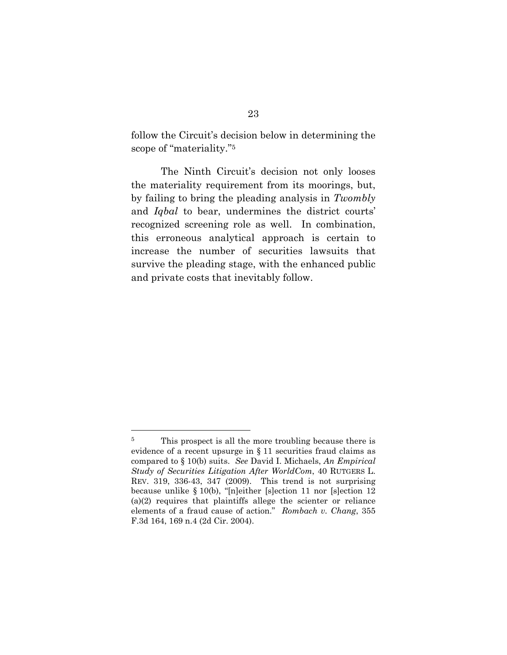follow the Circuit's decision below in determining the scope of "materiality."5

The Ninth Circuit's decision not only looses the materiality requirement from its moorings, but, by failing to bring the pleading analysis in *Twombly* and *Iqbal* to bear, undermines the district courts' recognized screening role as well. In combination, this erroneous analytical approach is certain to increase the number of securities lawsuits that survive the pleading stage, with the enhanced public and private costs that inevitably follow.

 $\overline{a}$ 

<sup>&</sup>lt;sup>5</sup> This prospect is all the more troubling because there is evidence of a recent upsurge in § 11 securities fraud claims as compared to § 10(b) suits. *See* David I. Michaels, *An Empirical Study of Securities Litigation After WorldCom*, 40 RUTGERS L. REV. 319, 336-43, 347 (2009). This trend is not surprising because unlike § 10(b), "[n]either [s]ection 11 nor [s]ection 12 (a)(2) requires that plaintiffs allege the scienter or reliance elements of a fraud cause of action." *Rombach v. Chang*, 355 F.3d 164, 169 n.4 (2d Cir. 2004).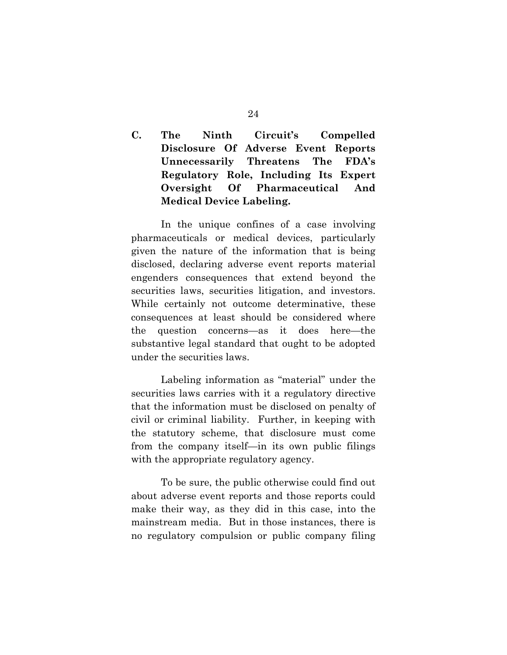## **C. The Ninth Circuit's Compelled Disclosure Of Adverse Event Reports Unnecessarily Threatens The FDA's Regulatory Role, Including Its Expert Oversight Of Pharmaceutical And Medical Device Labeling.**

In the unique confines of a case involving pharmaceuticals or medical devices, particularly given the nature of the information that is being disclosed, declaring adverse event reports material engenders consequences that extend beyond the securities laws, securities litigation, and investors. While certainly not outcome determinative, these consequences at least should be considered where the question concerns—as it does here—the substantive legal standard that ought to be adopted under the securities laws.

Labeling information as "material" under the securities laws carries with it a regulatory directive that the information must be disclosed on penalty of civil or criminal liability. Further, in keeping with the statutory scheme, that disclosure must come from the company itself—in its own public filings with the appropriate regulatory agency.

To be sure, the public otherwise could find out about adverse event reports and those reports could make their way, as they did in this case, into the mainstream media. But in those instances, there is no regulatory compulsion or public company filing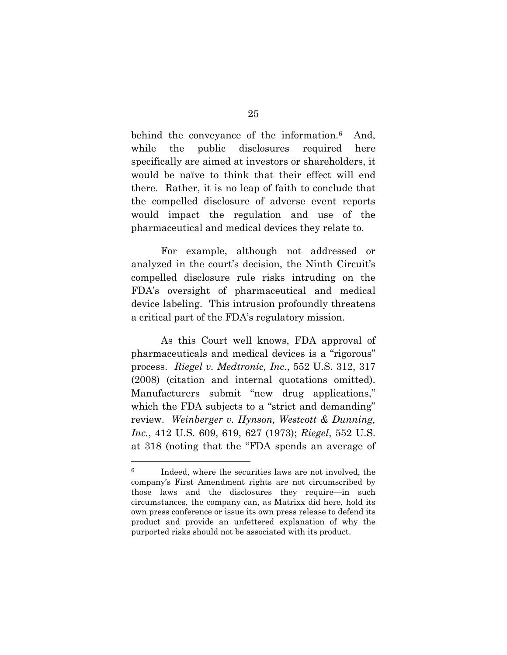behind the conveyance of the information.<sup>6</sup> And, while the public disclosures required here specifically are aimed at investors or shareholders, it would be naïve to think that their effect will end there. Rather, it is no leap of faith to conclude that the compelled disclosure of adverse event reports would impact the regulation and use of the pharmaceutical and medical devices they relate to.

For example, although not addressed or analyzed in the court's decision, the Ninth Circuit's compelled disclosure rule risks intruding on the FDA's oversight of pharmaceutical and medical device labeling. This intrusion profoundly threatens a critical part of the FDA's regulatory mission.

As this Court well knows, FDA approval of pharmaceuticals and medical devices is a "rigorous" process. *Riegel v. Medtronic, Inc.*, 552 U.S. 312, 317 (2008) (citation and internal quotations omitted). Manufacturers submit "new drug applications," which the FDA subjects to a "strict and demanding" review. *Weinberger v. Hynson, Westcott & Dunning, Inc.*, 412 U.S. 609, 619, 627 (1973); *Riegel*, 552 U.S. at 318 (noting that the "FDA spends an average of

 $\overline{a}$ 

<sup>6</sup> Indeed, where the securities laws are not involved, the company's First Amendment rights are not circumscribed by those laws and the disclosures they require—in such circumstances, the company can, as Matrixx did here, hold its own press conference or issue its own press release to defend its product and provide an unfettered explanation of why the purported risks should not be associated with its product.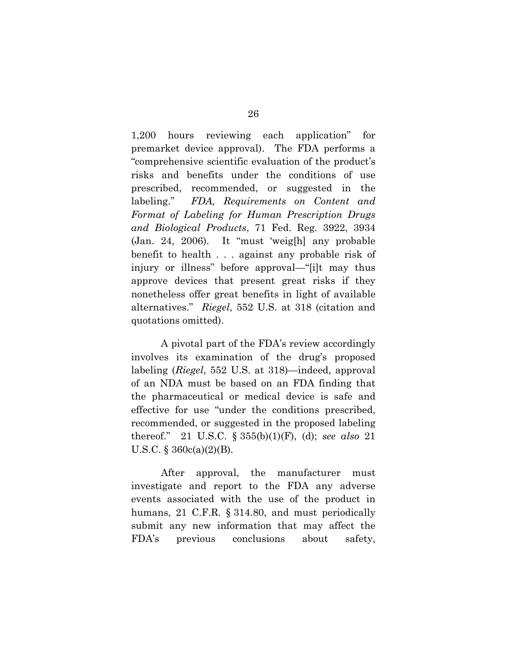1,200 hours reviewing each application" for premarket device approval). The FDA performs a "comprehensive scientific evaluation of the product's risks and benefits under the conditions of use prescribed, recommended, or suggested in the labeling." *FDA, Requirements on Content and Format of Labeling for Human Prescription Drugs and Biological Products*, 71 Fed. Reg. 3922, 3934 (Jan. 24, 2006). It "must 'weig[h] any probable benefit to health . . . against any probable risk of injury or illness" before approval—"[i]t may thus approve devices that present great risks if they nonetheless offer great benefits in light of available alternatives." *Riegel*, 552 U.S. at 318 (citation and quotations omitted).

A pivotal part of the FDA's review accordingly involves its examination of the drug's proposed labeling (*Riegel*, 552 U.S. at 318)—indeed, approval of an NDA must be based on an FDA finding that the pharmaceutical or medical device is safe and effective for use "under the conditions prescribed, recommended, or suggested in the proposed labeling thereof." 21 U.S.C. § 355(b)(1)(F), (d); *see also* 21 U.S.C. § 360c(a)(2)(B).

After approval, the manufacturer must investigate and report to the FDA any adverse events associated with the use of the product in humans, 21 C.F.R. § 314.80, and must periodically submit any new information that may affect the FDA's previous conclusions about safety,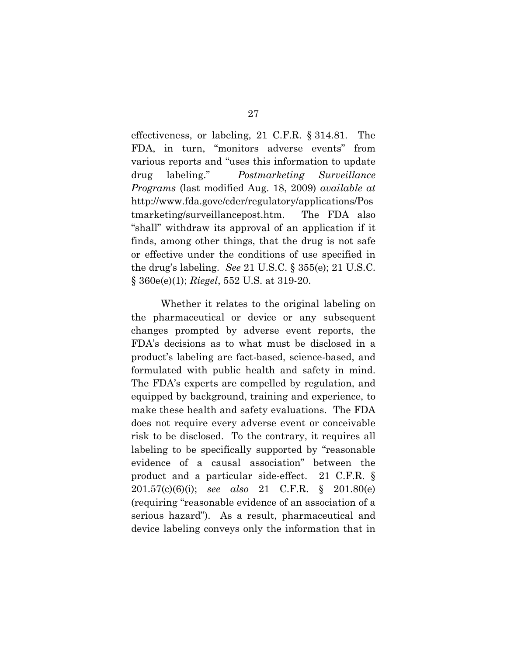effectiveness, or labeling, 21 C.F.R. § 314.81. The FDA, in turn, "monitors adverse events" from various reports and "uses this information to update drug labeling." *Postmarketing Surveillance Programs* (last modified Aug. 18, 2009) *available at* http://www.fda.gove/cder/regulatory/applications/Pos tmarketing/surveillancepost.htm. The FDA also "shall" withdraw its approval of an application if it finds, among other things, that the drug is not safe or effective under the conditions of use specified in the drug's labeling. *See* 21 U.S.C. § 355(e); 21 U.S.C. § 360e(e)(1); *Riegel*, 552 U.S. at 319-20.

Whether it relates to the original labeling on the pharmaceutical or device or any subsequent changes prompted by adverse event reports, the FDA's decisions as to what must be disclosed in a product's labeling are fact-based, science-based, and formulated with public health and safety in mind. The FDA's experts are compelled by regulation, and equipped by background, training and experience, to make these health and safety evaluations. The FDA does not require every adverse event or conceivable risk to be disclosed. To the contrary, it requires all labeling to be specifically supported by "reasonable evidence of a causal association" between the product and a particular side-effect. 21 C.F.R. § 201.57(c)(6)(i); *see also* 21 C.F.R. § 201.80(e) (requiring "reasonable evidence of an association of a serious hazard"). As a result, pharmaceutical and device labeling conveys only the information that in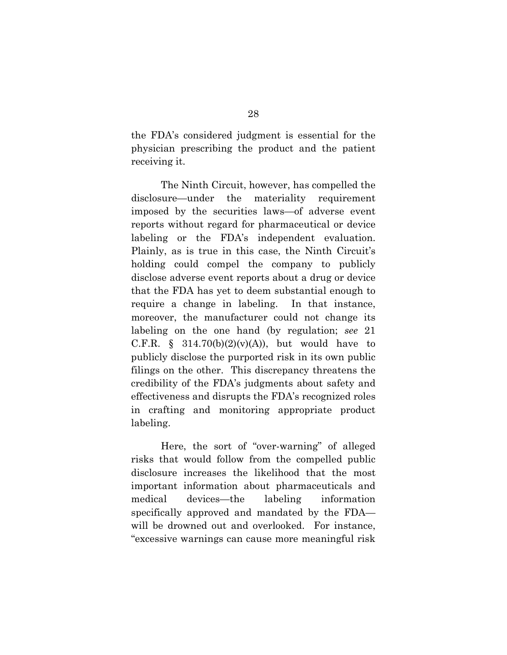the FDA's considered judgment is essential for the physician prescribing the product and the patient receiving it.

The Ninth Circuit, however, has compelled the disclosure—under the materiality requirement imposed by the securities laws—of adverse event reports without regard for pharmaceutical or device labeling or the FDA's independent evaluation. Plainly, as is true in this case, the Ninth Circuit's holding could compel the company to publicly disclose adverse event reports about a drug or device that the FDA has yet to deem substantial enough to require a change in labeling. In that instance, moreover, the manufacturer could not change its labeling on the one hand (by regulation; *see* 21 C.F.R. § 314.70(b)(2)(v)(A)), but would have to publicly disclose the purported risk in its own public filings on the other. This discrepancy threatens the credibility of the FDA's judgments about safety and effectiveness and disrupts the FDA's recognized roles in crafting and monitoring appropriate product labeling.

Here, the sort of "over-warning" of alleged risks that would follow from the compelled public disclosure increases the likelihood that the most important information about pharmaceuticals and medical devices—the labeling information specifically approved and mandated by the FDA will be drowned out and overlooked. For instance, "excessive warnings can cause more meaningful risk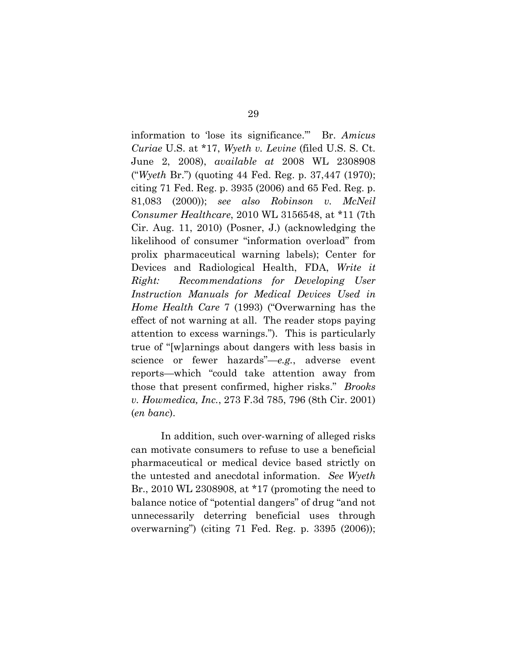information to 'lose its significance.'" Br. *Amicus Curiae* U.S. at \*17, *Wyeth v. Levine* (filed U.S. S. Ct. June 2, 2008), *available at* 2008 WL 2308908 ("*Wyeth* Br.") (quoting 44 Fed. Reg. p. 37,447 (1970); citing 71 Fed. Reg. p. 3935 (2006) and 65 Fed. Reg. p. 81,083 (2000)); *see also Robinson v. McNeil Consumer Healthcare*, 2010 WL 3156548, at \*11 (7th Cir. Aug. 11, 2010) (Posner, J.) (acknowledging the likelihood of consumer "information overload" from prolix pharmaceutical warning labels); Center for Devices and Radiological Health, FDA, *Write it Right: Recommendations for Developing User Instruction Manuals for Medical Devices Used in Home Health Care* 7 (1993) ("Overwarning has the effect of not warning at all. The reader stops paying attention to excess warnings."). This is particularly true of "[w]arnings about dangers with less basis in science or fewer hazards"—*e.g.*, adverse event reports—which "could take attention away from those that present confirmed, higher risks." *Brooks v. Howmedica, Inc.*, 273 F.3d 785, 796 (8th Cir. 2001) (*en banc*).

In addition, such over-warning of alleged risks can motivate consumers to refuse to use a beneficial pharmaceutical or medical device based strictly on the untested and anecdotal information. *See Wyeth* Br., 2010 WL 2308908, at \*17 (promoting the need to balance notice of "potential dangers" of drug "and not unnecessarily deterring beneficial uses through overwarning") (citing 71 Fed. Reg. p. 3395 (2006));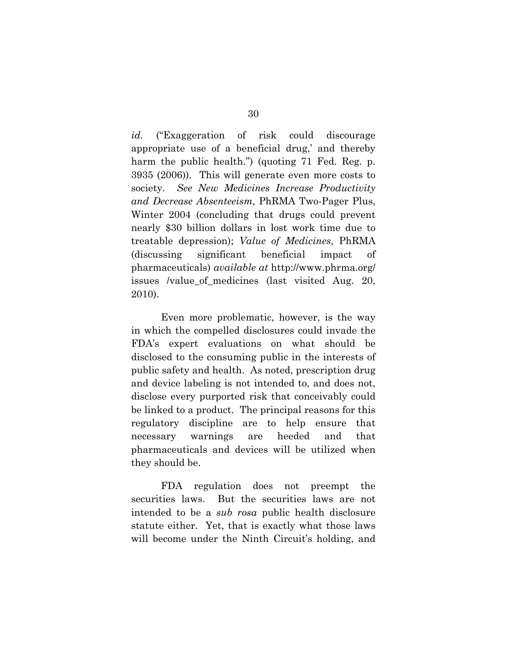*id.* ("Exaggeration of risk could discourage appropriate use of a beneficial drug,' and thereby harm the public health.") (quoting 71 Fed. Reg. p. 3935 (2006)). This will generate even more costs to society. *See New Medicines Increase Productivity and Decrease Absenteeism*, PhRMA Two-Pager Plus, Winter 2004 (concluding that drugs could prevent nearly \$30 billion dollars in lost work time due to treatable depression); *Value of Medicines*, PhRMA (discussing significant beneficial impact of pharmaceuticals) *available at* http://www.phrma.org/ issues /value\_of\_medicines (last visited Aug. 20, 2010).

Even more problematic, however, is the way in which the compelled disclosures could invade the FDA's expert evaluations on what should be disclosed to the consuming public in the interests of public safety and health. As noted, prescription drug and device labeling is not intended to, and does not, disclose every purported risk that conceivably could be linked to a product. The principal reasons for this regulatory discipline are to help ensure that necessary warnings are heeded and that pharmaceuticals and devices will be utilized when they should be.

FDA regulation does not preempt the securities laws. But the securities laws are not intended to be a *sub rosa* public health disclosure statute either. Yet, that is exactly what those laws will become under the Ninth Circuit's holding, and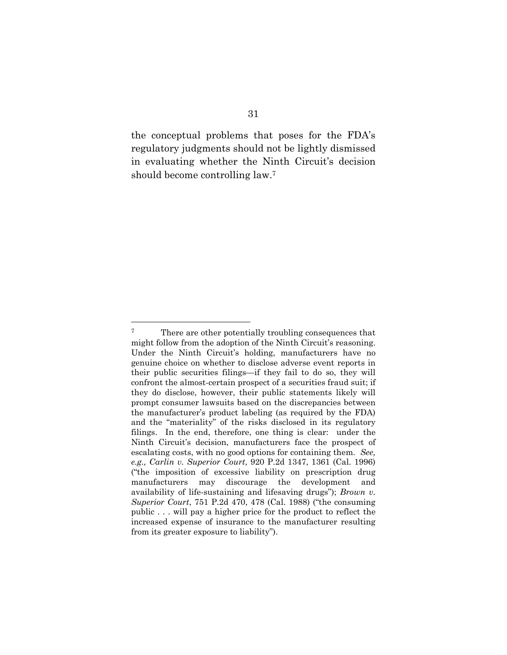the conceptual problems that poses for the FDA's regulatory judgments should not be lightly dismissed in evaluating whether the Ninth Circuit's decision should become controlling law.7

 $\overline{a}$ 

<sup>&</sup>lt;sup>7</sup> There are other potentially troubling consequences that might follow from the adoption of the Ninth Circuit's reasoning. Under the Ninth Circuit's holding, manufacturers have no genuine choice on whether to disclose adverse event reports in their public securities filings—if they fail to do so, they will confront the almost-certain prospect of a securities fraud suit; if they do disclose, however, their public statements likely will prompt consumer lawsuits based on the discrepancies between the manufacturer's product labeling (as required by the FDA) and the "materiality" of the risks disclosed in its regulatory filings. In the end, therefore, one thing is clear: under the Ninth Circuit's decision, manufacturers face the prospect of escalating costs, with no good options for containing them. *See, e.g., Carlin v. Superior Court*, 920 P.2d 1347, 1361 (Cal. 1996) ("the imposition of excessive liability on prescription drug manufacturers may discourage the development and availability of life-sustaining and lifesaving drugs"); *Brown v. Superior Court*, 751 P.2d 470, 478 (Cal. 1988) ("the consuming public . . . will pay a higher price for the product to reflect the increased expense of insurance to the manufacturer resulting from its greater exposure to liability").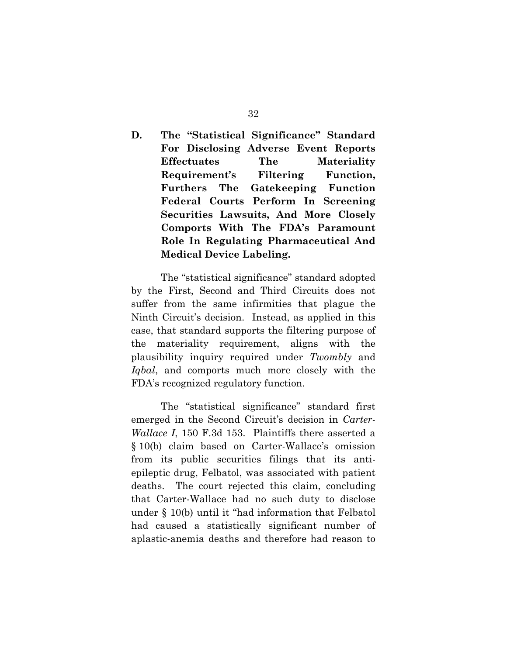**D. The "Statistical Significance" Standard For Disclosing Adverse Event Reports Effectuates The Materiality Requirement's Filtering Function, Furthers The Gatekeeping Function Federal Courts Perform In Screening Securities Lawsuits, And More Closely Comports With The FDA's Paramount Role In Regulating Pharmaceutical And Medical Device Labeling.** 

The "statistical significance" standard adopted by the First, Second and Third Circuits does not suffer from the same infirmities that plague the Ninth Circuit's decision. Instead, as applied in this case, that standard supports the filtering purpose of the materiality requirement, aligns with the plausibility inquiry required under *Twombly* and *Iqbal*, and comports much more closely with the FDA's recognized regulatory function.

The "statistical significance" standard first emerged in the Second Circuit's decision in *Carter-Wallace I*, 150 F.3d 153. Plaintiffs there asserted a § 10(b) claim based on Carter-Wallace's omission from its public securities filings that its antiepileptic drug, Felbatol, was associated with patient deaths. The court rejected this claim, concluding that Carter-Wallace had no such duty to disclose under § 10(b) until it "had information that Felbatol had caused a statistically significant number of aplastic-anemia deaths and therefore had reason to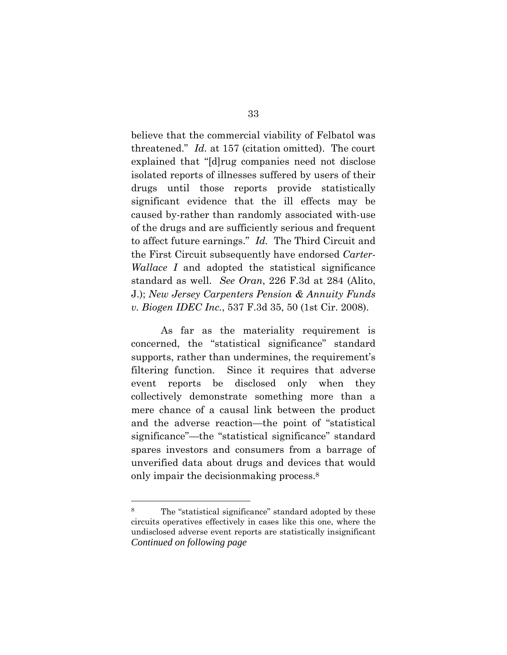believe that the commercial viability of Felbatol was threatened." *Id.* at 157 (citation omitted). The court explained that "[d]rug companies need not disclose isolated reports of illnesses suffered by users of their drugs until those reports provide statistically significant evidence that the ill effects may be caused by-rather than randomly associated with-use of the drugs and are sufficiently serious and frequent to affect future earnings." *Id.* The Third Circuit and the First Circuit subsequently have endorsed *Carter-Wallace I* and adopted the statistical significance standard as well. *See Oran*, 226 F.3d at 284 (Alito, J.); *New Jersey Carpenters Pension & Annuity Funds v. Biogen IDEC Inc.*, 537 F.3d 35, 50 (1st Cir. 2008).

As far as the materiality requirement is concerned, the "statistical significance" standard supports, rather than undermines, the requirement's filtering function. Since it requires that adverse event reports be disclosed only when they collectively demonstrate something more than a mere chance of a causal link between the product and the adverse reaction—the point of "statistical significance"—the "statistical significance" standard spares investors and consumers from a barrage of unverified data about drugs and devices that would only impair the decisionmaking process.8

 $\overline{a}$ 

<sup>8</sup> The "statistical significance" standard adopted by these circuits operatives effectively in cases like this one, where the undisclosed adverse event reports are statistically insignificant *Continued on following page*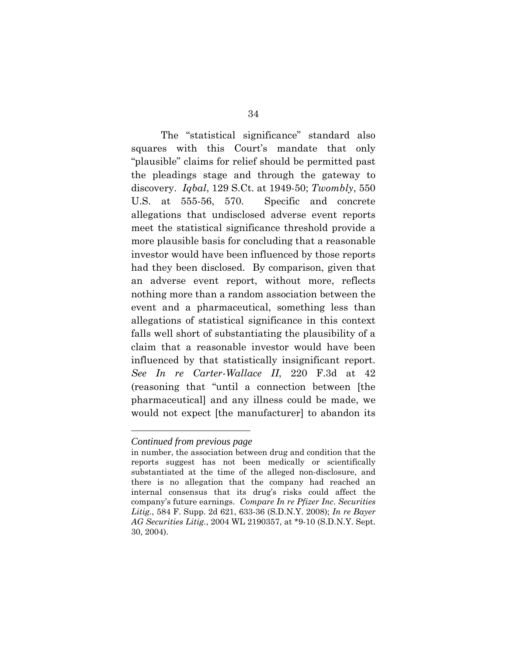The "statistical significance" standard also squares with this Court's mandate that only "plausible" claims for relief should be permitted past the pleadings stage and through the gateway to discovery. *Iqbal*, 129 S.Ct. at 1949-50; *Twombly*, 550 U.S. at 555-56, 570. Specific and concrete allegations that undisclosed adverse event reports meet the statistical significance threshold provide a more plausible basis for concluding that a reasonable investor would have been influenced by those reports had they been disclosed. By comparison, given that an adverse event report, without more, reflects nothing more than a random association between the event and a pharmaceutical, something less than allegations of statistical significance in this context falls well short of substantiating the plausibility of a claim that a reasonable investor would have been influenced by that statistically insignificant report. *See In re Carter-Wallace II*, 220 F.3d at 42 (reasoning that "until a connection between [the pharmaceutical] and any illness could be made, we would not expect [the manufacturer] to abandon its

 $\overline{a}$ 

*Continued from previous page* 

in number, the association between drug and condition that the reports suggest has not been medically or scientifically substantiated at the time of the alleged non-disclosure, and there is no allegation that the company had reached an internal consensus that its drug's risks could affect the company's future earnings. *Compare In re Pfizer Inc. Securities Litig.*, 584 F. Supp. 2d 621, 633-36 (S.D.N.Y. 2008); *In re Bayer AG Securities Litig.*, 2004 WL 2190357, at \*9-10 (S.D.N.Y. Sept. 30, 2004).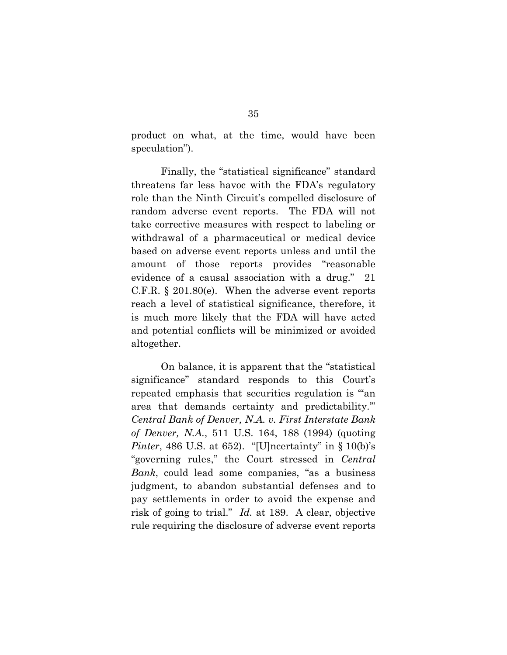product on what, at the time, would have been speculation").

Finally, the "statistical significance" standard threatens far less havoc with the FDA's regulatory role than the Ninth Circuit's compelled disclosure of random adverse event reports. The FDA will not take corrective measures with respect to labeling or withdrawal of a pharmaceutical or medical device based on adverse event reports unless and until the amount of those reports provides "reasonable evidence of a causal association with a drug." 21 C.F.R. § 201.80(e). When the adverse event reports reach a level of statistical significance, therefore, it is much more likely that the FDA will have acted and potential conflicts will be minimized or avoided altogether.

On balance, it is apparent that the "statistical significance" standard responds to this Court's repeated emphasis that securities regulation is "'an area that demands certainty and predictability.'" *Central Bank of Denver, N.A. v. First Interstate Bank of Denver, N.A.*, 511 U.S. 164, 188 (1994) (quoting *Pinter*, 486 U.S. at 652). "[U]ncertainty" in § 10(b)'s "governing rules," the Court stressed in *Central Bank*, could lead some companies, "as a business judgment, to abandon substantial defenses and to pay settlements in order to avoid the expense and risk of going to trial." *Id.* at 189. A clear, objective rule requiring the disclosure of adverse event reports